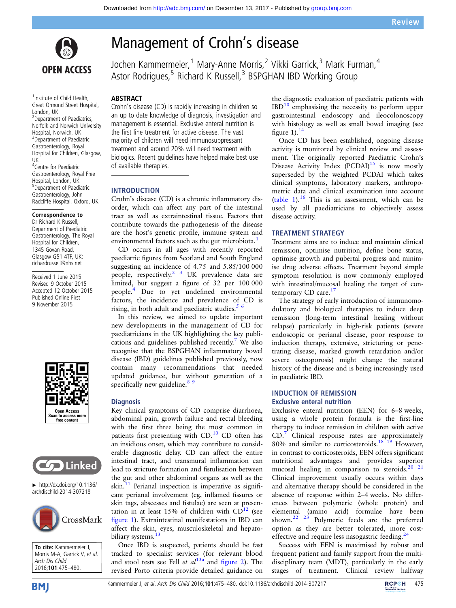

<sup>1</sup> Institute of Child Health, Great Ormond Street Hospital, London, UK 2 Department of Paediatrics, Norfolk and Norwich University Hospital, Norwich, UK <sup>3</sup>Department of Paediatric Gastroenterology, Royal Hospital for Children, Glasgow, UK 4 Centre for Paediatric Gastroenterology, Royal Free Hospital, London, UK 5 Department of Paediatric Gastroenterology, John

#### Correspondence to

Dr Richard K Russell, Department of Paediatric Gastroenterology, The Royal Hospital for Children, 1345 Govan Road, Glasgow G51 4TF, UK: richardrussell@nhs.net

Radcliffe Hospital, Oxford, UK

Received 1 June 2015 Revised 9 October 2015 Accepted 12 October 2015 Published Online First 9 November 2015





 $\blacktriangleright$  [http://dx.doi.org/10.1136/](http://dx.doi.org/10.1136/archdischild-2014-307218) [archdischild-2014-307218](http://dx.doi.org/10.1136/archdischild-2014-307218)



To cite: Kammermeier J, Morris M-A, Garrick V, et al. Arch Dis Child 2016;101:475–480.

# Management of Crohn's disease

Jochen Kammermeier,<sup>1</sup> Mary-Anne Morris,<sup>2</sup> Vikki Garrick,<sup>3</sup> Mark Furman,<sup>4</sup> Astor Rodrigues,<sup>5</sup> Richard K Russell,<sup>3</sup> BSPGHAN IBD Working Group

# ABSTRACT

Crohn's disease (CD) is rapidly increasing in children so an up to date knowledge of diagnosis, investigation and management is essential. Exclusive enteral nutrition is the first line treatment for active disease. The vast majority of children will need immunosuppressant treatment and around 20% will need treatment with biologics. Recent guidelines have helped make best use of available therapies.

# INTRODUCTION

Crohn's disease (CD) is a chronic inflammatory disorder, which can affect any part of the intestinal tract as well as extraintestinal tissue. Factors that contribute towards the pathogenesis of the disease are the host's genetic profile, immune system and environmental factors such as the gut microbiota.<sup>[1](#page-4-0)</sup>

CD occurs in all ages with recently reported paediatric figures from Scotland and South England suggesting an incidence of 4.75 and 5.85/100 000 people, respectively.<sup>2</sup> <sup>3</sup> UK prevalence data are limited, but suggest a figure of 32 per 100 000 people[.4](#page-4-0) Due to yet undefined environmental factors, the incidence and prevalence of CD is rising, in both adult and paediatric studies. $\frac{5}{5}$ 

In this review, we aimed to update important new developments in the management of CD for paediatricians in the UK highlighting the key publi-cations and guidelines published recently.<sup>[7](#page-4-0)</sup> We also recognise that the BSPGHAN inflammatory bowel disease (IBD) guidelines published previously, now contain many recommendations that needed updated guidance, but without generation of a specifically new guideline.<sup>[8 9](#page-4-0)</sup>

# **Diagnosis**

Key clinical symptoms of CD comprise diarrhoea, abdominal pain, growth failure and rectal bleeding with the first three being the most common in patients first presenting with CD.<sup>[10](#page-4-0)</sup> CD often has an insidious onset, which may contribute to considerable diagnostic delay. CD can affect the entire intestinal tract, and transmural inflammation can lead to stricture formation and fistulisation between the gut and other abdominal organs as well as the skin. $11$  Perianal inspection is imperative as significant perianal involvement (eg, inflamed fissures or skin tags, abscesses and fistulae) are seen at presentation in at least 15% of children with  $CD<sup>12</sup>$  (see fi[gure 1](#page-1-0)). Extraintestinal manifestations in IBD can affect the skin, eyes, musculoskeletal and hepato-biliary systems.<sup>[13](#page-4-0)</sup>

Once IBD is suspected, patients should be fast tracked to specialist services (for relevant blood and stool tests see Fell et  $al^{13a}$  $al^{13a}$  $al^{13a}$  and fi[gure 2](#page-1-0)). The revised Porto criteria provide detailed guidance on the diagnostic evaluation of paediatric patients with  $IBD<sup>10</sup>$  $IBD<sup>10</sup>$  $IBD<sup>10</sup>$  emphasising the necessity to perform upper gastrointestinal endoscopy and ileocolonoscopy with histology as well as small bowel imaging (see figure  $1$ ).<sup>[14](#page-4-0)</sup>

Once CD has been established, ongoing disease activity is monitored by clinical review and assessment. The originally reported Paediatric Crohn's Disease Activity Index  $(PCDAI)^{15}$  $(PCDAI)^{15}$  $(PCDAI)^{15}$  is now mostly superseded by the weighted PCDAI which takes clinical symptoms, laboratory markers, anthropometric data and clinical examination into account [\(table 1](#page-2-0)).<sup>[16](#page-4-0)</sup> This is an assessment, which can be used by all paediatricians to objectively assess disease activity.

# TREATMENT STRATEGY

Treatment aims are to induce and maintain clinical remission, optimise nutrition, define bone status, optimise growth and pubertal progress and minimise drug adverse effects. Treatment beyond simple symptom resolution is now commonly employed with intestinal/mucosal healing the target of con-temporary CD care.<sup>[17](#page-4-0)</sup>

The strategy of early introduction of immunomodulatory and biological therapies to induce deep remission (long-term intestinal healing without relapse) particularly in high-risk patients (severe endoscopic or perianal disease, poor response to induction therapy, extensive, stricturing or penetrating disease, marked growth retardation and/or severe osteoporosis) might change the natural history of the disease and is being increasingly used in paediatric IBD.

# INDUCTION OF REMISSION Exclusive enteral nutrition

Exclusive enteral nutrition (EEN) for 6–8 weeks, using a whole protein formula is the first-line therapy to induce remission in children with active CD[.7](#page-4-0) Clinical response rates are approximately 80% and similar to corticosteroids.[18 19](#page-4-0) However, in contrast to corticosteroids, EEN offers significant nutritional advantages and provides superior mucosal healing in comparison to steroids.<sup>20</sup><sup>21</sup> Clinical improvement usually occurs within days and alternative therapy should be considered in the absence of response within 2–4 weeks. No differences between polymeric (whole protein) and elemental (amino acid) formulae have been shown.<sup>[22 23](#page-4-0)</sup> Polymeric feeds are the preferred option as they are better tolerated, more costeffective and require less nasogastric feeding. $24$ 

Success with EEN is maximised by robust and frequent patient and family support from the multidisciplinary team (MDT), particularly in the early stages of treatment. Clinical review halfway

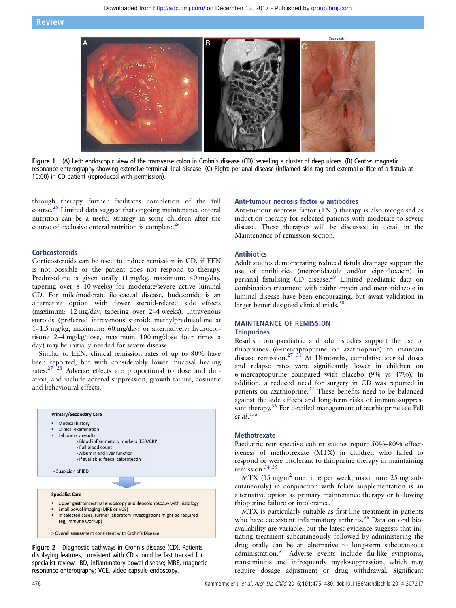<span id="page-1-0"></span>

Figure 1 (A) Left: endoscopic view of the transverse colon in Crohn's disease (CD) revealing a cluster of deep ulcers. (B) Centre: magnetic resonance enterography showing extensive terminal ileal disease. (C) Right: perianal disease (inflamed skin tag and external orifice of a fistula at 10:00) in CD patient (reproduced with permission).

through therapy further facilitates completion of the full course[.25](#page-4-0) Limited data suggest that ongoing maintenance enteral nutrition can be a useful strategy in some children after the course of exclusive enteral nutrition is complete. $26$ 

#### **Corticosteroids**

Corticosteroids can be used to induce remission in CD, if EEN is not possible or the patient does not respond to therapy. Prednisolone is given orally (1 mg/kg, maximum: 40 mg/day, tapering over 8–10 weeks) for moderate/severe active luminal CD. For mild/moderate ileocaecal disease, budesonide is an alternative option with fewer steroid-related side effects (maximum: 12 mg/day, tapering over 2–4 weeks). Intravenous steroids (preferred intravenous steroid: methylprednisolone at 1–1.5 mg/kg, maximum: 60 mg/day; or alternatively: hydrocortisone 2–4 mg/kg/dose, maximum 100 mg/dose four times a day) may be initially needed for severe disease.

Similar to EEN, clinical remission rates of up to 80% have been reported, but with considerably lower mucosal healing rates.<sup>27</sup><sup>28</sup> Adverse effects are proportional to dose and duration, and include adrenal suppression, growth failure, cosmetic and behavioural effects.



Figure 2 Diagnostic pathways in Crohn's disease (CD). Patients displaying features, consistent with CD should be fast tracked for specialist review. IBD, inflammatory bowel disease; MRE, magnetic resonance enterography; VCE, video capsule endoscopy.

#### Anti-tumour necrosis factor  $\alpha$  antibodies

Anti-tumour necrosis factor (TNF) therapy is also recognised as induction therapy for selected patients with moderate to severe disease. These therapies will be discussed in detail in the Maintenance of remission section.

# **Antibiotics**

Adult studies demonstrating reduced fistula drainage support the use of antibiotics (metronidazole and/or ciprofloxacin) in perianal fistulising CD disease.<sup>[29](#page-4-0)</sup> Limited paediatric data on combination treatment with azithromycin and metronidazole in luminal disease have been encouraging, but await validation in larger better designed clinical trials.<sup>3</sup>

# MAINTENANCE OF REMISSION

# **Thiopurines**

Results from paediatric and adult studies support the use of thiopurines (6-mercaptopurine or azathioprine) to maintain disease remission.<sup>[27 31](#page-4-0)</sup> At 18 months, cumulative steroid doses and relapse rates were significantly lower in children on 6-mercaptopurine compared with placebo (9% vs 47%). In addition, a reduced need for surgery in CD was reported in patients on azathioprine[.32](#page-4-0) These benefits need to be balanced against the side effects and long-term risks of immunosuppres-sant therapy.<sup>[33](#page-4-0)</sup> For detailed management of azathioprine see Fell et al. [13a](#page-4-0)

# **Methotrexate**

Paediatric retrospective cohort studies report 50%–80% effectiveness of methotrexate (MTX) in children who failed to respond or were intolerant to thiopurine therapy in maintaining remission.<sup>34</sup> 35

 $MTX$  (15 mg/m<sup>2</sup> one time per week, maximum: 25 mg subcutaneously) in conjunction with folate supplementation is an alternative option as primary maintenance therapy or following thiopurine failure or intolerance.<sup>7</sup>

MTX is particularly suitable as first-line treatment in patients who have coexistent inflammatory arthritis.<sup>[36](#page-4-0)</sup> Data on oral bioavailability are variable, but the latest evidence suggests that initiating treatment subcutaneously followed by administering the drug orally can be an alternative to long-term subcutaneous administration. $37$  Adverse events include flu-like symptoms, transaminitis and infrequently myelosuppression, which may require dosage adjustment or drug withdrawal. Significant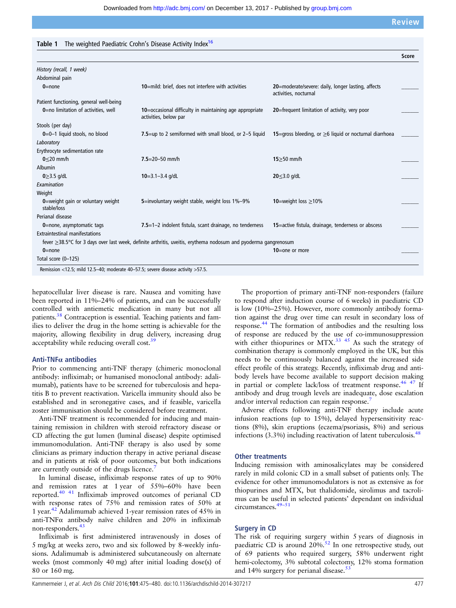Review

<span id="page-2-0"></span>

| The weighted Paediatric Crohn's Disease Activity Index <sup>16</sup><br>Table 1 |  |
|---------------------------------------------------------------------------------|--|
|---------------------------------------------------------------------------------|--|

|                                                  |                                                                                                                       |                                                                             | Score |
|--------------------------------------------------|-----------------------------------------------------------------------------------------------------------------------|-----------------------------------------------------------------------------|-------|
| History (recall, 1 week)                         |                                                                                                                       |                                                                             |       |
| Abdominal pain                                   |                                                                                                                       |                                                                             |       |
| $0$ =none                                        | 10=mild: brief, does not interfere with activities                                                                    | 20=moderate/severe: daily, longer lasting, affects<br>activities, nocturnal |       |
| Patient functioning, general well-being          |                                                                                                                       |                                                                             |       |
| 0=no limitation of activities, well              | 10=occasional difficulty in maintaining age appropriate<br>activities, below par                                      | 20=frequent limitation of activity, very poor                               |       |
| Stools (per day)                                 |                                                                                                                       |                                                                             |       |
| $0=0-1$ liquid stools, no blood                  | 7.5=up to 2 semiformed with small blood, or 2-5 liquid                                                                | 15=gross bleeding, or $\geq$ 6 liquid or nocturnal diarrhoea                |       |
| Laboratory                                       |                                                                                                                       |                                                                             |       |
| Erythrocyte sedimentation rate                   |                                                                                                                       |                                                                             |       |
| $0 \leq 20$ mm/h                                 | $7.5 = 20 - 50$ mm/h                                                                                                  | $15 \geq 50$ mm/h                                                           |       |
| Albumin                                          |                                                                                                                       |                                                                             |       |
| $0 \geq 3.5$ g/dL                                | $10=3.1-3.4$ g/dL                                                                                                     | $20 \le 3.0$ g/dL                                                           |       |
| Examination                                      |                                                                                                                       |                                                                             |       |
| Weight                                           |                                                                                                                       |                                                                             |       |
| 0=weight gain or voluntary weight<br>stable/loss | 5=involuntary weight stable, weight loss 1%-9%                                                                        | 10=weight loss $\geq$ 10%                                                   |       |
| Perianal disease                                 |                                                                                                                       |                                                                             |       |
| <b>0</b> =none, asymptomatic tags                | 7.5=1-2 indolent fistula, scant drainage, no tenderness                                                               | 15=active fistula, drainage, tenderness or abscess                          |       |
| <b>Extraintestinal manifestations</b>            |                                                                                                                       |                                                                             |       |
|                                                  | fever $\geq$ 38.5°C for 3 days over last week, definite arthritis, uveitis, erythema nodosum and pyoderma gangrenosum |                                                                             |       |
| $0$ =none                                        |                                                                                                                       | $10$ =one or more                                                           |       |
| Total score (0-125)                              |                                                                                                                       |                                                                             |       |

hepatocellular liver disease is rare. Nausea and vomiting have been reported in 11%–24% of patients, and can be successfully controlled with antiemetic medication in many but not all patients.[38](#page-4-0) Contraception is essential. Teaching patients and families to deliver the drug in the home setting is achievable for the majority, allowing flexibility in drug delivery, increasing drug acceptability while reducing overall cost.<sup>39</sup>

#### Anti-TNFα antibodies

Prior to commencing anti-TNF therapy (chimeric monoclonal antibody: infliximab; or humanised monoclonal antibody: adalimumab), patients have to be screened for tuberculosis and hepatitis B to prevent reactivation. Varicella immunity should also be established and in seronegative cases, and if feasible, varicella zoster immunisation should be considered before treatment.

Anti-TNF treatment is recommended for inducing and maintaining remission in children with steroid refractory disease or CD affecting the gut lumen (luminal disease) despite optimised immunomodulation. Anti-TNF therapy is also used by some clinicians as primary induction therapy in active perianal disease and in patients at risk of poor outcomes, but both indications are currently outside of the drugs licence.<sup>[7](#page-4-0)</sup>

In luminal disease, infliximab response rates of up to 90% and remission rates at 1 year of 55%–60% have been reported[.40 41](#page-4-0) Infliximab improved outcomes of perianal CD with response rates of 75% and remission rates of 50% at 1 year.[42](#page-4-0) Adalimumab achieved 1-year remission rates of 45% in anti-TNFα antibody naïve children and 20% in infliximab non-responders.<sup>[43](#page-4-0)</sup>

Infliximab is first administered intravenously in doses of 5 mg/kg at weeks zero, two and six followed by 8-weekly infusions. Adalimumab is administered subcutaneously on alternate weeks (most commonly 40 mg) after initial loading dose(s) of 80 or 160 mg.

The proportion of primary anti-TNF non-responders (failure to respond after induction course of 6 weeks) in paediatric CD is low (10%–25%). However, more commonly antibody formation against the drug over time can result in secondary loss of response[.44](#page-4-0) The formation of antibodies and the resulting loss of response are reduced by the use of co-immunosuppression with either thiopurines or MTX.<sup>33</sup> <sup>45</sup> As such the strategy of combination therapy is commonly employed in the UK, but this needs to be continuously balanced against the increased side effect profile of this strategy. Recently, infliximab drug and antibody levels have become available to support decision making in partial or complete lack/loss of treatment response.<sup>[46 47](#page-4-0)</sup> If antibody and drug trough levels are inadequate, dose escalation and/or interval reduction can regain response.<sup>7</sup>

Adverse effects following anti-TNF therapy include acute infusion reactions (up to 15%), delayed hypersensitivity reactions (8%), skin eruptions (eczema/psoriasis, 8%) and serious infections  $(3.3\%)$  including reactivation of latent tuberculosis.<sup>48</sup>

# Other treatments

Inducing remission with aminosalicylates may be considered rarely in mild colonic CD in a small subset of patients only. The evidence for other immunomodulators is not as extensive as for thiopurines and MTX, but thalidomide, sirolimus and tacrolimus can be useful in selected patients' dependant on individual circumstances.[49](#page-4-0)–<sup>51</sup>

# Surgery in CD

The risk of requiring surgery within 5 years of diagnosis in paediatric CD is around 20%.[52](#page-5-0) In one retrospective study, out of 69 patients who required surgery, 58% underwent right hemi-colectomy, 3% subtotal colectomy, 12% stoma formation and 14% surgery for perianal disease. $53$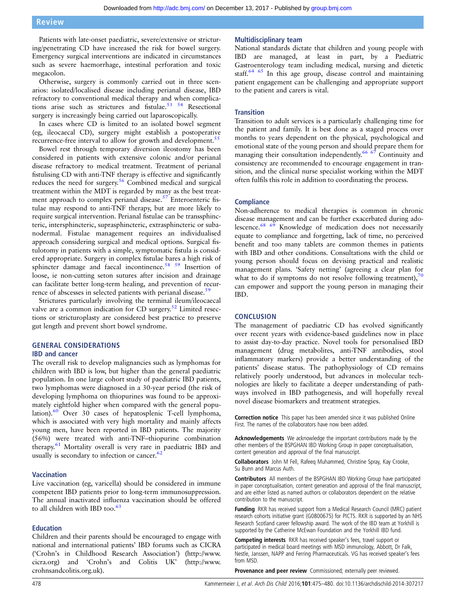Patients with late-onset paediatric, severe/extensive or stricturing/penetrating CD have increased the risk for bowel surgery. Emergency surgical interventions are indicated in circumstances such as severe haemorrhage, intestinal perforation and toxic megacolon.

Otherwise, surgery is commonly carried out in three scenarios: isolated/localised disease including perianal disease, IBD refractory to conventional medical therapy and when complications arise such as strictures and fistulae.<sup>53</sup> <sup>54</sup> Resectional surgery is increasingly being carried out laparoscopically.

In cases where CD is limited to an isolated bowel segment (eg, ileocaecal CD), surgery might establish a postoperative recurrence-free interval to allow for growth and development.<sup>[55](#page-5-0)</sup>

Bowel rest through temporary diversion ileostomy has been considered in patients with extensive colonic and/or perianal disease refractory to medical treatment. Treatment of perianal fistulising CD with anti-TNF therapy is effective and significantly reduces the need for surgery.[56](#page-5-0) Combined medical and surgical treatment within the MDT is regarded by many as the best treatment approach to complex perianal disease.<sup>57</sup> Enteroenteric fistulae may respond to anti-TNF therapy, but are more likely to require surgical intervention. Perianal fistulae can be transsphincteric, intersphincteric, suprasphincteric, extrasphincteric or subanodermal. Fistulae management requires an individualised approach considering surgical and medical options. Surgical fistulotomy in patients with a simple, symptomatic fistula is considered appropriate. Surgery in complex fistulae bares a high risk of sphincter damage and faecal incontinence.<sup>58</sup> <sup>59</sup> Insertion of loose, ie non-cutting seton sutures after incision and drainage can facilitate better long-term healing, and prevention of recur-rence of abscesses in selected patients with perianal disease.<sup>[59](#page-5-0)</sup>

Strictures particularly involving the terminal ileum/ileocaecal valve are a common indication for CD surgery. $52$  Limited resections or stricturoplasty are considered best practice to preserve gut length and prevent short bowel syndrome.

# GENERAL CONSIDERATIONS

# IBD and cancer

The overall risk to develop malignancies such as lymphomas for children with IBD is low, but higher than the general paediatric population. In one large cohort study of paediatric IBD patients, two lymphomas were diagnosed in a 30-year period (the risk of developing lymphoma on thiopurines was found to be approximately eightfold higher when compared with the general popu-lation).<sup>[60](#page-5-0)</sup> Over 30 cases of hepatosplenic T-cell lymphoma, which is associated with very high mortality and mainly affects young men, have been reported in IBD patients. The majority (56%) were treated with anti-TNF–thiopurine combination therapy.<sup>[61](#page-5-0)</sup> Mortality overall is very rare in paediatric IBD and usually is secondary to infection or cancer.<sup>[62](#page-5-0)</sup>

# Vaccination

Live vaccination (eg, varicella) should be considered in immune competent IBD patients prior to long-term immunosuppression. The annual inactivated influenza vaccination should be offered to all children with IBD too.<sup>63</sup>

# Education

Children and their parents should be encouraged to engage with national and international patients' IBD forums such as CICRA ('Crohn's in Childhood Research Association') [\(http://www.](http://www.cicra.org) [cicra.org\)](http://www.cicra.org) and 'Crohn's and Colitis UK' [\(http://www.](http://www.crohnsandcolitis.org.uk) [crohnsandcolitis.org.uk](http://www.crohnsandcolitis.org.uk)).

# Multidisciplinary team

National standards dictate that children and young people with IBD are managed, at least in part, by a Paediatric Gastroenterology team including medical, nursing and dietetic staff.<sup>[64 65](#page-5-0)</sup> In this age group, disease control and maintaining patient engagement can be challenging and appropriate support to the patient and carers is vital.

# **Transition**

Transition to adult services is a particularly challenging time for the patient and family. It is best done as a staged process over months to years dependent on the physical, psychological and emotional state of the young person and should prepare them for managing their consultation independently.<sup>66 67</sup> Continuity and consistency are recommended to encourage engagement in transition, and the clinical nurse specialist working within the MDT often fulfils this role in addition to coordinating the process.

# **Compliance**

Non-adherence to medical therapies is common in chronic disease management and can be further exacerbated during adolescence. $68 69$  Knowledge of medication does not necessarily equate to compliance and forgetting, lack of time, no perceived benefit and too many tablets are common themes in patients with IBD and other conditions. Consultations with the child or young person should focus on devising practical and realistic management plans. 'Safety netting' (agreeing a clear plan for what to do if symptoms do not resolve following treatment), $\frac{70}{2}$  $\frac{70}{2}$  $\frac{70}{2}$ can empower and support the young person in managing their IBD.

# **CONCLUSION**

The management of paediatric CD has evolved significantly over recent years with evidence-based guidelines now in place to assist day-to-day practice. Novel tools for personalised IBD management (drug metabolites, anti-TNF antibodies, stool inflammatory markers) provide a better understanding of the patients' disease status. The pathophysiology of CD remains relatively poorly understood, but advances in molecular technologies are likely to facilitate a deeper understanding of pathways involved in IBD pathogenesis, and will hopefully reveal novel disease biomarkers and treatment strategies.

Correction notice This paper has been amended since it was published Online First. The names of the collaborators have now been added.

Acknowledgements We acknowledge the important contributions made by the other members of the BSPGHAN IBD Working Group in paper conceptualisation, content generation and approval of the final manuscript.

Collaborators John M Fell, Rafeeq Muhammed, Christine Spray, Kay Crooke, Su Bunn and Marcus Auth.

Contributors All members of the BSPGHAN IBD Working Group have participated in paper conceptualisation, content generation and approval of the final manuscript, and are either listed as named authors or collaborators dependent on the relative contribution to the manuscript.

Funding RKR has received support from a Medical Research Council (MRC) patient research cohorts initiative grant (G0800675) for PICTS. RKR is supported by an NHS Research Scotland career fellowship award. The work of the IBD team at Yorkhill is supported by the Catherine McEwan Foundation and the Yorkhill IBD fund.

Competing interests RKR has received speaker's fees, travel support or participated in medical board meetings with MSD immunology, Abbott, Dr Falk, Nestle, Janssen, NAPP and Ferring Pharmaceuticals. VG has received speaker's fees from MSD.

Provenance and peer review Commissioned; externally peer reviewed.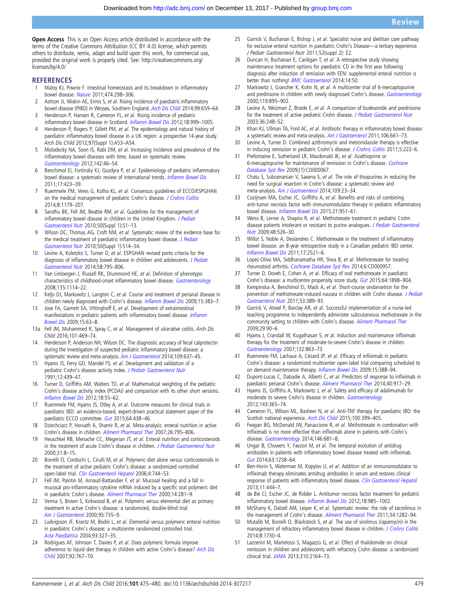<span id="page-4-0"></span>Open Access This is an Open Access article distributed in accordance with the terms of the Creative Commons Attribution (CC BY 4.0) license, which permits others to distribute, remix, adapt and build upon this work, for commercial use, provided the original work is properly cited. See: [http://creativecommons.org/](http://creativecommons.org/licenses/by/4.0/) [licenses/by/4.0/](http://creativecommons.org/licenses/by/4.0/)

# **REFERENCES**

- Maloy KJ, Powrie F. Intestinal homeostasis and its breakdown in inflammatory bowel disease. [Nature](http://dx.doi.org/10.1038/nature10208) 2011;474:298–306.
- Ashton JJ, Wiskin AE, Ennis S, et al. Rising incidence of paediatric inflammatory bowel disease (PIBD) in Wessex, Southern England. [Arch Dis Child](http://dx.doi.org/10.1136/archdischild-2013-305419) 2014;99:659-64.
- 3 Henderson P, Hansen R, Cameron FL, et al. Rising incidence of pediatric inflammatory bowel disease in Scotland. Infl[amm Bowel Dis](http://dx.doi.org/10.1002/ibd.21797) 2012;18:999-1005.
- 4 Henderson P, Rogers P, Gillett PM, et al. The epidemiology and natural history of paediatric inflammatory bowel disease in a UK region: a prospective 14-year study. Arch Dis Child 2012;97(Suppl 1):A53–A54.
- 5 Molodecky NA, Soon IS, Rabi DM, et al. Increasing incidence and prevalence of the inflammatory bowel diseases with time, based on systematic review. [Gastroenterology](http://dx.doi.org/10.1053/j.gastro.2011.10.001) 2012;142:46–54.
- 6 Benchimol EI, Fortinsky KJ, Gozdyra P, et al. Epidemiology of pediatric inflammatory bowel disease: a systematic review of international trends. Infl[amm Bowel Dis](http://dx.doi.org/10.1002/ibd.21349) 2011;17:423–39.
- 7 Ruemmele FM, Veres G, Kolho KL, et al. Consensus quidelines of ECCO/ESPGHAN on the medical management of pediatric Crohn's disease. [J Crohns Colitis](http://dx.doi.org/10.1016/j.crohns.2014.04.005) 2014;8:1179–207.
- 8 Sandhu BK, Fell JM, Beattie RM, et al. Guidelines for the management of inflammatory bowel disease in children in the United Kingdom. [J Pediatr](http://dx.doi.org/10.1097/MPG.0b013e3181c92c53) [Gastroenterol Nutr](http://dx.doi.org/10.1097/MPG.0b013e3181c92c53) 2010;50(Suppl 1):S1–13.
- 9 Wilson DC, Thomas AG, Croft NM, et al. Systematic review of the evidence base for the medical treatment of paediatric inflammatory bowel disease. [J Pediatr](http://dx.doi.org/10.1097/MPG.0b013e3181c92caa) [Gastroenterol Nutr](http://dx.doi.org/10.1097/MPG.0b013e3181c92caa) 2010;50(Suppl 1):S14–34.
- 10 Levine A, Koletzko S, Turner D, et al. ESPGHAN revised porto criteria for the diagnosis of inflammatory bowel disease in children and adolescents. *[J Pediatr](http://dx.doi.org/10.1097/MPG.0000000000000239)* [Gastroenterol Nutr](http://dx.doi.org/10.1097/MPG.0000000000000239) 2014;58:795–806.
- 11 Van Limbergen J, Russell RK, Drummond HE, et al. Definition of phenotypic characteristics of childhood-onset inflammatory bowel disease. [Gastroenterology](http://dx.doi.org/10.1053/j.gastro.2008.06.081) 2008;135:1114–22.
- 12 Keljo DJ, Markowitz J, Langton C, et al. Course and treatment of perianal disease in children newly diagnosed with Crohn's disease. Infl[amm Bowel Dis](http://dx.doi.org/10.1002/ibd.20767) 2009;15:383-7.
- 13 Jose FA, Garnett EA, Vittinghoff E, et al. Development of extraintestinal manifestations in pediatric patients with infl[amm](http://dx.doi.org/10.1002/ibd.20604)atory bowel disease. Inflamm [Bowel Dis](http://dx.doi.org/10.1002/ibd.20604) 2009;15:63–8.
- 13a Fell JM, Muhammed R, Spray C, et al. Management of ulcerative colitis. Arch Dis Child 2016;101:469–74.
- 14 Henderson P, Anderson NH, Wilson DC. The diagnostic accuracy of fecal calprotectin during the investigation of suspected pediatric inflammatory bowel disease: a systematic review and meta-analysis. [Am J Gastroenterol](http://dx.doi.org/10.1038/ajg.2013.131) 2014;109:637-45.
- 15 Hyams JS, Ferry GD, Mandel FS, et al. Development and validation of a pediatric Crohn's disease activity index. [J Pediatr Gastroenterol Nutr](http://dx.doi.org/10.1097/00005176-199105000-00005) 1991;12:439–47.
- 16 Turner D, Griffiths AM, Walters TD, et al. Mathematical weighting of the pediatric Crohn's disease activity index (PCDAI) and comparison with its other short versions. Infl[amm Bowel Dis](http://dx.doi.org/10.1002/ibd.21649) 2012;18:55–62.
- 17 Ruemmele FM, Hyams JS, Otley A, et al. Outcome measures for clinical trials in paediatric IBD: an evidence-based, expert-driven practical statement paper of the paediatric ECCO committee. [Gut](http://dx.doi.org/10.1136/gutjnl-2014-307008) 2015;64:438-46.
- 18 Dziechciarz P, Horvath A, Shamir R, et al. Meta-analysis: enteral nutrition in active Crohn's disease in children. [Aliment Pharmacol Ther](http://dx.doi.org/10.1111/j.1365-2036.2007.03431.x) 2007;26:795–806.
- 19 Heuschkel RB, Menache CC, Megerian JT, et al. Enteral nutrition and corticosteroids in the treatment of acute Crohn's disease in children. [J Pediatr Gastroenterol Nutr](http://dx.doi.org/10.1097/00005176-200007000-00005) 2000;31:8–15.
- 20 Borrelli O, Cordischi L, Cirulli M, et al. Polymeric diet alone versus corticosteroids in the treatment of active pediatric Crohn's disease: a randomized controlled open-label trial. [Clin Gastroenterol Hepatol](http://dx.doi.org/10.1016/j.cgh.2006.03.010) 2006;4:744–53.
- 21 Fell JM, Paintin M, Arnaud-Battandier F, et al. Mucosal healing and a fall in mucosal pro-inflammatory cytokine mRNA induced by a specific oral polymeric diet in paediatric Crohn's disease. [Aliment Pharmacol Ther](http://dx.doi.org/10.1046/j.1365-2036.2000.00707.x) 2000;14:281–9.
- 22 Verma S, Brown S, Kirkwood B, et al. Polymeric versus elemental diet as primary treatment in active Crohn's disease: a randomized, double-blind trial. [Am J Gastroenterol](http://dx.doi.org/10.1111/j.1572-0241.2000.01527.x) 2000;95:735–9.
- 23 Ludvigsson JF, Krantz M, Bodin L, et al. Elemental versus polymeric enteral nutrition in paediatric Crohn's disease: a multicentre randomized controlled trial. [Acta Paediatrica](http://dx.doi.org/10.1111/j.1651-2227.2004.tb02956.x) 2004;93:327–35.
- 24 Rodrigues AF, Johnson T, Davies P, et al. Does polymeric formula improve adherence to liquid diet therapy in children with active Crohn's disease? [Arch Dis](http://dx.doi.org/10.1136/adc.2006.103416) [Child](http://dx.doi.org/10.1136/adc.2006.103416) 2007;92:767–70.
- 25 Garrick V, Buchanan E, Bishop J, et al. Specialist nurse and dietitian care pathway for exclusive enteral nutrition in paediatric Crohn's Disease—a tertiary experience. J Pediatr Gastroenterol Nutr 2011;52(suppl 2): E2.
- 26 Duncan H, Buchanan E, Cardigan T, et al. A retrospective study showing maintenance treatment options for paediatric CD in the first year following diagnosis after induction of remission with EEN: supplemental enteral nutrition is better than nothing! **[BMC Gastroenterol](http://dx.doi.org/10.1186/1471-230X-14-50)** 2014;14:50.
- 27 Markowitz J, Grancher K, Kohn N, et al. A multicenter trial of 6-mercaptopurine and prednisone in children with newly diagnosed Crohn's disease. [Gastroenterology](http://dx.doi.org/10.1053/gast.2000.18144) 2000;119:895–902.
- 28 Levine A, Weizman Z, Broide E, et al. A comparison of budesonide and prednisone for the treatment of active pediatric Crohn disease. [J Pediatr Gastroenterol Nutr](http://dx.doi.org/10.1097/00005176-200302000-00017) 2003;36:248–52.
- 29 Khan KJ, Ullman TA, Ford AC, et al. Antibiotic therapy in inflammatory bowel disease: a systematic review and meta-analysis. [Am J Gastroenterol](http://dx.doi.org/10.1038/ajg.2011.72) 2011;106:661–73.
- 30 Levine A, Turner D. Combined azithromycin and metronidazole therapy is effective in inducing remission in pediatric Crohn's disease. [J Crohns Colitis](http://dx.doi.org/10.1016/j.crohns.2011.01.006) 2011;5:222-6.
- 31 Prefontaine E, Sutherland LR, Macdonald JK, et al. Azathioprine or 6-mercaptopurine for maintenance of remission in Crohn's disease. [Cochrane](http://dx.doi.org/10.1002/14651858.CD000067.pub2) [Database Syst Rev](http://dx.doi.org/10.1002/14651858.CD000067.pub2) 2009;(1):CD000067.
- 32 Chatu S, Subramanian V, Saxena S, et al. The role of thiopurines in reducing the need for surgical resection in Crohn's disease: a systematic review and meta-analysis. [Am J Gastroenterol](http://dx.doi.org/10.1038/ajg.2013.402) 2014;109:23–34.
- 33 Cozijnsen MA, Escher JC, Griffiths A, et al. Benefits and risks of combining anti-tumor necrosis factor with immunomodulator therapy in pediatric inflammatory bowel disease. Infl[amm Bowel Dis](http://dx.doi.org/10.1097/MIB.0000000000000245) 2015;21:951-61.
- 34 Weiss B, Lerner A, Shapiro R, et al. Methotrexate treatment in pediatric Crohn disease patients intolerant or resistant to purine analogues. [J Pediatr Gastroenterol](http://dx.doi.org/10.1097/MPG.0b013e318196df3e) [Nutr](http://dx.doi.org/10.1097/MPG.0b013e318196df3e) 2009;48:526–30.
- 35 Willot S, Noble A, Deslandres C. Methotrexate in the treatment of inflammatory bowel disease: an 8-year retrospective study in a Canadian pediatric IBD center. Infl[amm Bowel Dis](http://dx.doi.org/10.1002/ibd.21653) 2011;17:2521–6.
- 36 Lopez-Olivo MA, Siddhanamatha HR, Shea B, et al. Methotrexate for treating rheumatoid arthritis. [Cochrane Database Syst Rev](http://dx.doi.org/10.1002/14651858.CD000957.pub2) 2014;6:CD000957.
- 37 Turner D, Doveh E, Cohen A, et al. Efficacy of oral methotrexate in paediatric Crohn's disease: a multicentre propensity score study. [Gut](http://dx.doi.org/10.1136/gutjnl-2014-307964) 2015;64:1898-904.
- 38 Kempinska A, Benchimol EI, Mack A, et al. Short-course ondansetron for the prevention of methotrexate-induced nausea in children with Crohn disease. [J Pediatr](http://dx.doi.org/10.1097/MPG.0b013e31822855e7) [Gastroenterol Nutr](http://dx.doi.org/10.1097/MPG.0b013e31822855e7) 2011;53:389–93.
- 39 Garrick V, Atwal P, Barclay AR, et al. Successful implementation of a nurse-led teaching programme to independently administer subcutaneous methotrexate in the community setting to children with Crohn's disease. [Aliment Pharmacol Ther](http://dx.doi.org/10.1111/j.1365-2036.2008.03861.x) 2009;29:90–6.
- 40 Hyams J, Crandall W, Kugathasan S, et al. Induction and maintenance infliximab therapy for the treatment of moderate-to-severe Crohn's disease in children. [Gastroenterology](http://dx.doi.org/10.1053/j.gastro.2006.12.003) 2007;132:863–73.
- 41 Ruemmele FM, Lachaux A, Cézard JP, et al. Efficacy of infliximab in pediatric Crohn's disease: a randomized multicenter open-label trial comparing scheduled to on demand maintenance therapy. Infl[amm Bowel Dis](http://dx.doi.org/10.1002/ibd.20788) 2009;15:388-94.
- 42 Dupont-Lucas C, Dabadie A, Alberti C, et al. Predictors of response to infliximab in paediatric perianal Crohn's disease. [Aliment Pharmacol Ther](http://dx.doi.org/10.1111/apt.12928) 2014;40:917–29.
- 43 Hyams JS, Griffiths A, Markowitz J, et al. Safety and efficacy of adalimumab for moderate to severe Crohn's disease in children. [Gastroenterology](http://dx.doi.org/10.1053/j.gastro.2012.04.046) 2012;143:365–74.
- 44 Cameron FL, Wilson ML, Basheer N, et al. Anti-TNF therapy for paediatric IBD: the Scottish national experience. [Arch Dis Child](http://dx.doi.org/10.1136/archdischild-2013-305812) 2015;100:399-405.
- 45 Feagan BG, McDonald JW, Panaccione R, et al. Methotrexate in combination with infliximab is no more effective than infliximab alone in patients with Crohn's disease. [Gastroenterology](http://dx.doi.org/10.1053/j.gastro.2013.11.024) 2014;146:681-8.
- 46 Ungar B, Chowers Y, Yavzori M, et al. The temporal evolution of antidrug antibodies in patients with inflammatory bowel disease treated with infliximab. [Gut](http://dx.doi.org/10.1136/gutjnl-2013-305259) 2014;63:1258–64.
- 47 Ben-Horin S, Waterman M, Kopylov U, et al. Addition of an immunomodulator to infliximab therapy eliminates antidrug antibodies in serum and restores clinical response of patients with inflammatory bowel disease. [Clin Gastroenterol Hepatol](http://dx.doi.org/10.1016/j.cgh.2012.10.020) 2013;11:444–7.
- 48 de Bie CI, Escher JC, de Ridder L. Antitumor necrosis factor treatment for pediatric inflammatory bowel disease. Infl[amm Bowel Dis](http://dx.doi.org/10.1002/ibd.21871) 2012;18:985–1002.
- 49 McSharry K, Dalzell AM, Leiper K, et al. Systematic review: the role of tacrolimus in the management of Crohn's disease. [Aliment Pharmacol Ther](http://dx.doi.org/10.1111/j.1365-2036.2011.04873.x) 2011;34:1282-94.
- 50 Mutalib M, Borrelli O, Blackstock S, et al. The use of sirolimus (rapamycin) in the management of refractory inflammatory bowel disease in children. [J Crohns Colitis](http://dx.doi.org/10.1016/j.crohns.2014.08.014) 2014;8:1730–4.
- 51 Lazzerini M, Martelossi S, Magazzù G, et al. Effect of thalidomide on clinical remission in children and adolescents with refractory Crohn disease: a randomized clinical trial. [JAMA](http://dx.doi.org/10.1001/jama.2013.280777) 2013;310:2164–73.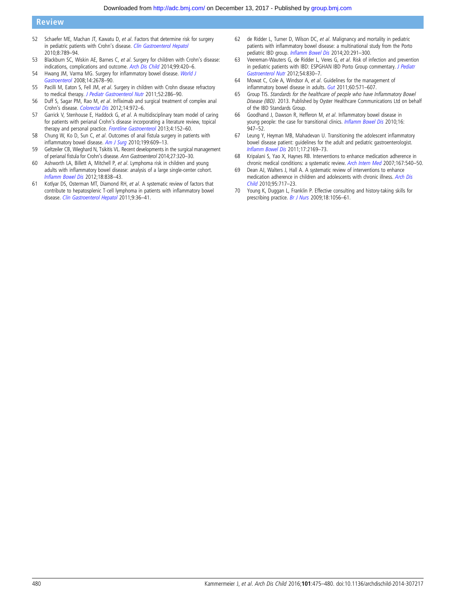# <span id="page-5-0"></span>Review

- 52 Schaefer ME, Machan JT, Kawatu D, et al. Factors that determine risk for surgery in pediatric patients with Crohn's disease. [Clin Gastroenterol Hepatol](http://dx.doi.org/10.1016/j.cgh.2010.05.021) 2010;8:789–94.
- 53 Blackburn SC, Wiskin AE, Barnes C, et al. Surgery for children with Crohn's disease: indications, complications and outcome. [Arch Dis Child](http://dx.doi.org/10.1136/archdischild-2013-305214) 2014;99:420–6.
- 54 Hwang JM, Varma MG. Surgery for inflammatory bowel disease. [World J](http://dx.doi.org/10.3748/wjg.14.2678) [Gastroenterol](http://dx.doi.org/10.3748/wjg.14.2678) 2008;14:2678–90.
- 55 Pacilli M, Eaton S, Fell JM, et al. Surgery in children with Crohn disease refractory to medical therapy. [J Pediatr Gastroenterol Nutr](http://dx.doi.org/10.1097/MPG.0b013e3181e999af) 2011;52:286-90.
- 56 Duff S, Sagar PM, Rao M, et al. Infliximab and surgical treatment of complex anal Crohn's disease. [Colorectal Dis](http://dx.doi.org/10.1111/j.1463-1318.2011.02811.x) 2012;14:972–6.
- 57 Garrick V, Stenhouse E, Haddock G, et al. A multidisciplinary team model of caring for patients with perianal Crohn's disease incorporating a literature review, topical therapy and personal practice. [Frontline Gastroenterol](http://dx.doi.org/10.1136/flgastro-2012-100160) 2013;4:152-60.
- 58 Chung W, Ko D, Sun C, et al. Outcomes of anal fistula surgery in patients with inflammatory bowel disease. [Am J Surg](http://dx.doi.org/10.1016/j.amjsurg.2010.01.007) 2010;199:609–13.
- 59 Geltzeiler CB, Wieghard N, Tsikitis VL. Recent developments in the surgical management of perianal fistula for Crohn's disease. Ann Gastroenterol 2014;27:320–30.
- 60 Ashworth LA, Billett A, Mitchell P, et al. Lymphoma risk in children and young adults with inflammatory bowel disease: analysis of a large single-center cohort. Infl[amm Bowel Dis](http://dx.doi.org/10.1002/ibd.21844) 2012;18:838–43.
- 61 Kotlyar DS, Osterman MT, Diamond RH, et al. A systematic review of factors that contribute to hepatosplenic T-cell lymphoma in patients with inflammatory bowel disease. [Clin Gastroenterol Hepatol](http://dx.doi.org/10.1016/j.cgh.2010.09.016) 2011;9:36-41.
- 62 de Ridder L, Turner D, Wilson DC, et al. Malignancy and mortality in pediatric patients with inflammatory bowel disease: a multinational study from the Porto pediatric IBD group. Infl[amm Bowel Dis](http://dx.doi.org/10.1097/01.MIB.0000439066.69340.3c) 2014;20:291–300.
- 63 Veereman-Wauters G, de Ridder L, Veres G, et al. Risk of infection and prevention in pediatric patients with IBD: ESPGHAN IBD Porto Group commentary. [J Pediatr](http://dx.doi.org/10.1097/MPG.0b013e31824d1438) [Gastroenterol Nutr](http://dx.doi.org/10.1097/MPG.0b013e31824d1438) 2012;54:830–7.
- 64 Mowat C, Cole A, Windsor A, et al. Guidelines for the management of inflammatory bowel disease in adults. [Gut](http://dx.doi.org/10.1136/gut.2010.224154) 2011;60:571-607.
- 65 Group TIS. Standards for the healthcare of people who have Inflammatory Bowel Disease (IBD). 2013. Published by Oyster Healthcare Communications Ltd on behalf of the IBD Standards Group.
- 66 Goodhand J, Dawson R, Hefferon M, et al. Inflammatory bowel disease in young people: the case for transitional clinics. *Infl[amm Bowel Dis](http://dx.doi.org/10.1002/ibd.21145)* 2010;16: 947–52.
- 67 Leung Y, Heyman MB, Mahadevan U. Transitioning the adolescent inflammatory bowel disease patient: guidelines for the adult and pediatric gastroenterologist. Infl[amm Bowel Dis](http://dx.doi.org/10.1002/ibd.21576) 2011;17:2169–73.
- 68 Kripalani S, Yao X, Haynes RB. Interventions to enhance medication adherence in chronic medical conditions: a systematic review. [Arch Intern Med](http://dx.doi.org/10.1001/archinte.167.6.540) 2007;167:540–50.
- 69 Dean AJ, Walters J, Hall A. A systematic review of interventions to enhance medication adherence in children and adolescents with chronic illness. [Arch Dis](http://dx.doi.org/10.1136/adc.2009.175125) [Child](http://dx.doi.org/10.1136/adc.2009.175125) 2010;95:717–23.
- 70 Young K, Duggan L, Franklin P. Effective consulting and history-taking skills for prescribing practice. [Br J Nurs](http://dx.doi.org/10.12968/bjon.2009.18.17.44160) 2009;18:1056-61.